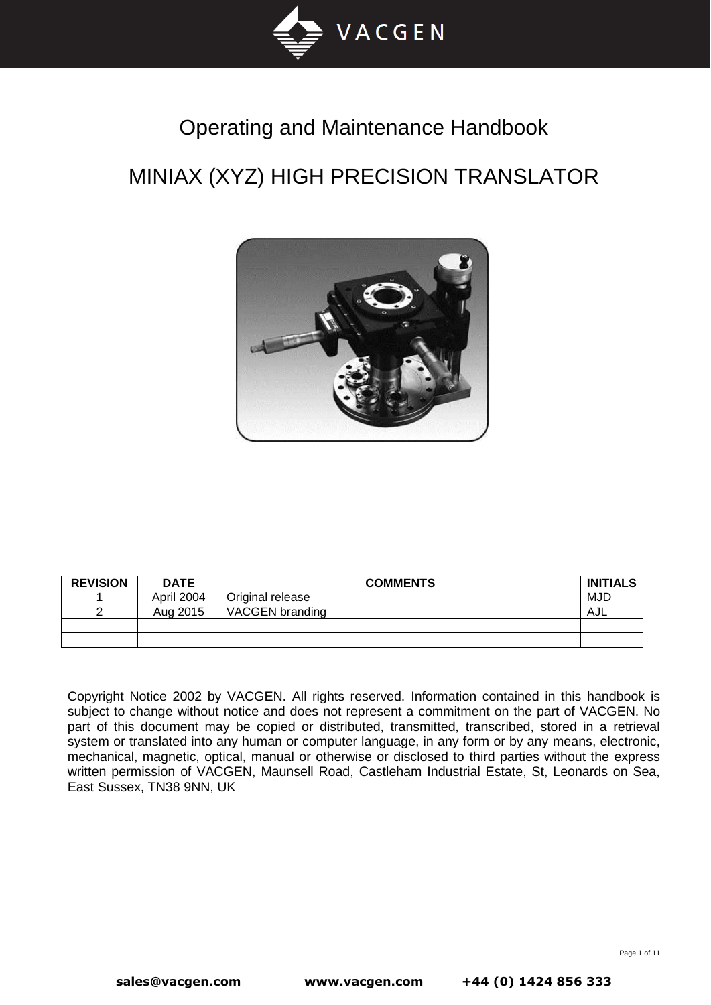

# Operating and Maintenance Handbook

# MINIAX (XYZ) HIGH PRECISION TRANSLATOR



| <b>REVISION</b> | <b>DATE</b> | <b>COMMENTS</b>  | <b>INITIALS</b> |
|-----------------|-------------|------------------|-----------------|
|                 | April 2004  | Original release | MJD             |
| ◠               | Aug 2015    | VACGEN branding  | AJL             |
|                 |             |                  |                 |
|                 |             |                  |                 |

Copyright Notice 2002 by VACGEN. All rights reserved. Information contained in this handbook is subject to change without notice and does not represent a commitment on the part of VACGEN. No part of this document may be copied or distributed, transmitted, transcribed, stored in a retrieval system or translated into any human or computer language, in any form or by any means, electronic, mechanical, magnetic, optical, manual or otherwise or disclosed to third parties without the express written permission of VACGEN, Maunsell Road, Castleham Industrial Estate, St, Leonards on Sea, East Sussex, TN38 9NN, UK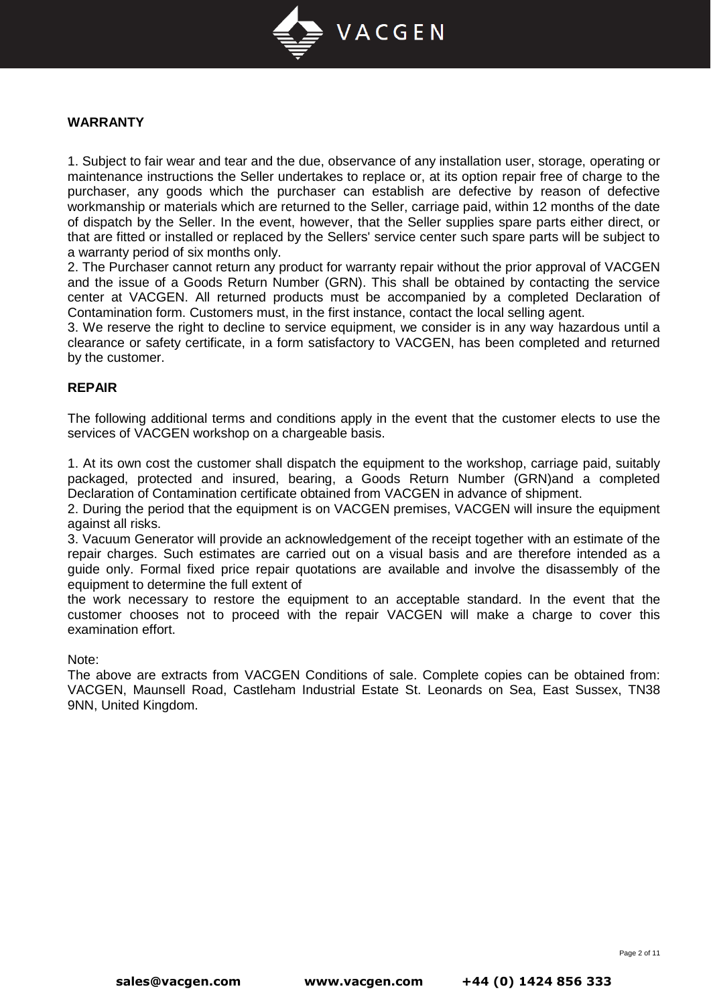

#### **WARRANTY**

1. Subject to fair wear and tear and the due, observance of any installation user, storage, operating or maintenance instructions the Seller undertakes to replace or, at its option repair free of charge to the purchaser, any goods which the purchaser can establish are defective by reason of defective workmanship or materials which are returned to the Seller, carriage paid, within 12 months of the date of dispatch by the Seller. In the event, however, that the Seller supplies spare parts either direct, or that are fitted or installed or replaced by the Sellers' service center such spare parts will be subject to a warranty period of six months only.

2. The Purchaser cannot return any product for warranty repair without the prior approval of VACGEN and the issue of a Goods Return Number (GRN). This shall be obtained by contacting the service center at VACGEN. All returned products must be accompanied by a completed Declaration of Contamination form. Customers must, in the first instance, contact the local selling agent.

3. We reserve the right to decline to service equipment, we consider is in any way hazardous until a clearance or safety certificate, in a form satisfactory to VACGEN, has been completed and returned by the customer.

#### **REPAIR**

The following additional terms and conditions apply in the event that the customer elects to use the services of VACGEN workshop on a chargeable basis.

1. At its own cost the customer shall dispatch the equipment to the workshop, carriage paid, suitably packaged, protected and insured, bearing, a Goods Return Number (GRN)and a completed Declaration of Contamination certificate obtained from VACGEN in advance of shipment.

2. During the period that the equipment is on VACGEN premises, VACGEN will insure the equipment against all risks.

3. Vacuum Generator will provide an acknowledgement of the receipt together with an estimate of the repair charges. Such estimates are carried out on a visual basis and are therefore intended as a guide only. Formal fixed price repair quotations are available and involve the disassembly of the equipment to determine the full extent of

the work necessary to restore the equipment to an acceptable standard. In the event that the customer chooses not to proceed with the repair VACGEN will make a charge to cover this examination effort.

#### Note:

The above are extracts from VACGEN Conditions of sale. Complete copies can be obtained from: VACGEN, Maunsell Road, Castleham Industrial Estate St. Leonards on Sea, East Sussex, TN38 9NN, United Kingdom.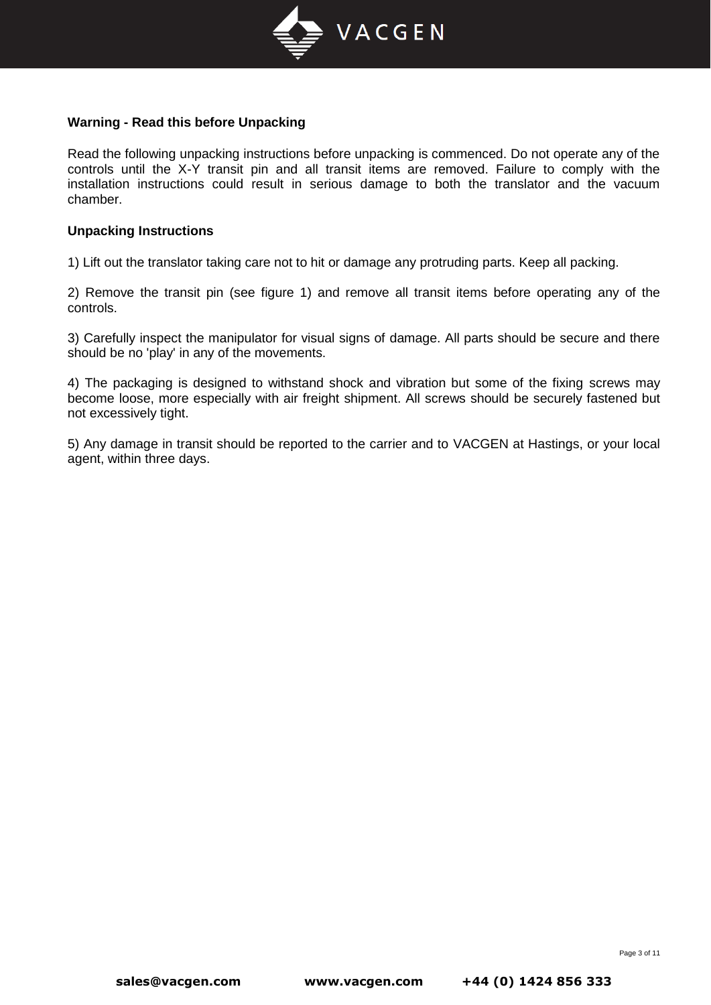

#### **Warning - Read this before Unpacking**

Read the following unpacking instructions before unpacking is commenced. Do not operate any of the controls until the X-Y transit pin and all transit items are removed. Failure to comply with the installation instructions could result in serious damage to both the translator and the vacuum chamber.

#### **Unpacking Instructions**

1) Lift out the translator taking care not to hit or damage any protruding parts. Keep all packing.

2) Remove the transit pin (see figure 1) and remove all transit items before operating any of the controls.

3) Carefully inspect the manipulator for visual signs of damage. All parts should be secure and there should be no 'play' in any of the movements.

4) The packaging is designed to withstand shock and vibration but some of the fixing screws may become loose, more especially with air freight shipment. All screws should be securely fastened but not excessively tight.

5) Any damage in transit should be reported to the carrier and to VACGEN at Hastings, or your local agent, within three days.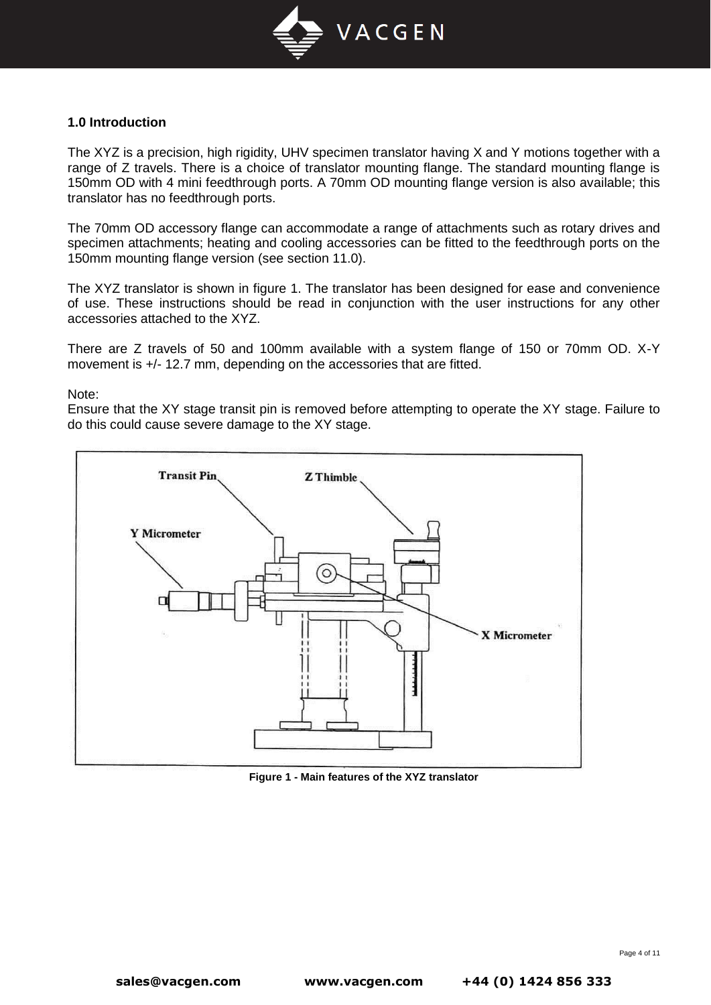

#### **1.0 Introduction**

The XYZ is a precision, high rigidity, UHV specimen translator having X and Y motions together with a range of Z travels. There is a choice of translator mounting flange. The standard mounting flange is 150mm OD with 4 mini feedthrough ports. A 70mm OD mounting flange version is also available; this translator has no feedthrough ports.

The 70mm OD accessory flange can accommodate a range of attachments such as rotary drives and specimen attachments; heating and cooling accessories can be fitted to the feedthrough ports on the 150mm mounting flange version (see section 11.0).

The XYZ translator is shown in figure 1. The translator has been designed for ease and convenience of use. These instructions should be read in conjunction with the user instructions for any other accessories attached to the XYZ.

There are Z travels of 50 and 100mm available with a system flange of 150 or 70mm OD. X-Y movement is +/- 12.7 mm, depending on the accessories that are fitted.

Note:

Ensure that the XY stage transit pin is removed before attempting to operate the XY stage. Failure to do this could cause severe damage to the XY stage.



**Figure 1 - Main features of the XYZ translator**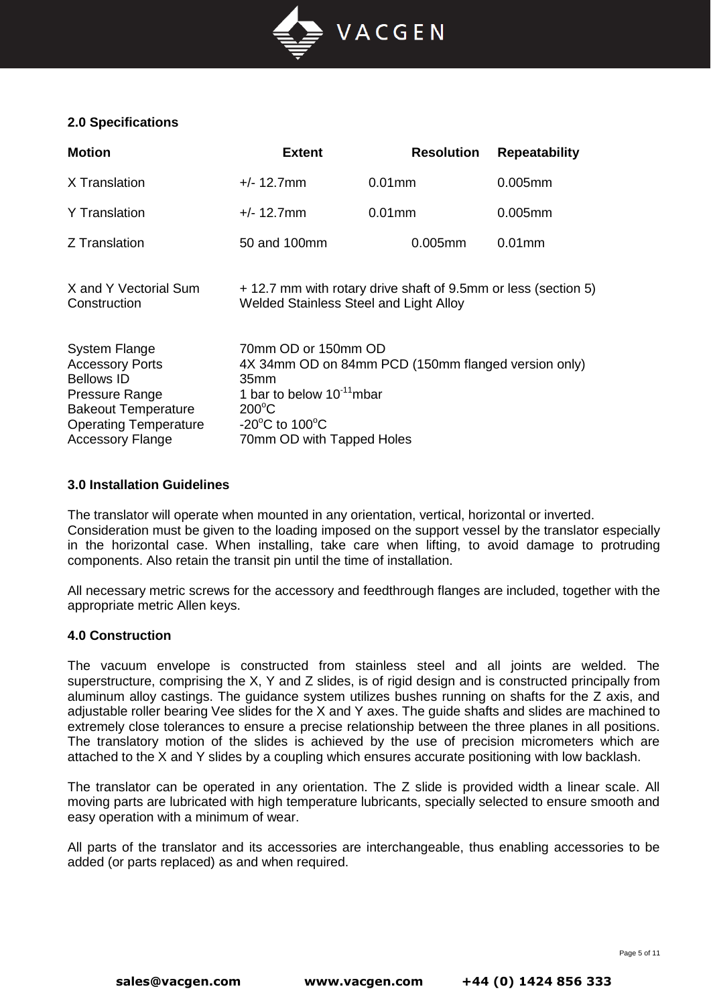

# **2.0 Specifications**

| <b>Motion</b>                                                                                                                                                                  | <b>Extent</b>                                                                                                                                                         | <b>Resolution</b>                                              | <b>Repeatability</b> |
|--------------------------------------------------------------------------------------------------------------------------------------------------------------------------------|-----------------------------------------------------------------------------------------------------------------------------------------------------------------------|----------------------------------------------------------------|----------------------|
| X Translation                                                                                                                                                                  | $+/- 12.7$ mm                                                                                                                                                         | $0.01$ mm                                                      | $0.005$ mm           |
| <b>Y</b> Translation                                                                                                                                                           | $+/- 12.7$ mm                                                                                                                                                         | $0.01$ mm                                                      | $0.005$ mm           |
| Z Translation                                                                                                                                                                  | 50 and 100mm                                                                                                                                                          | $0.005$ mm                                                     | $0.01$ mm            |
| X and Y Vectorial Sum<br>Construction                                                                                                                                          | Welded Stainless Steel and Light Alloy                                                                                                                                | + 12.7 mm with rotary drive shaft of 9.5mm or less (section 5) |                      |
| <b>System Flange</b><br><b>Accessory Ports</b><br><b>Bellows ID</b><br>Pressure Range<br><b>Bakeout Temperature</b><br><b>Operating Temperature</b><br><b>Accessory Flange</b> | 70mm OD or 150mm OD<br>35mm<br>1 bar to below $10^{-11}$ mbar<br>$200^{\circ}$ C<br>-20 $\mathrm{^{\circ}C}$ to 100 $\mathrm{^{\circ}C}$<br>70mm OD with Tapped Holes | 4X 34mm OD on 84mm PCD (150mm flanged version only)            |                      |

#### **3.0 Installation Guidelines**

The translator will operate when mounted in any orientation, vertical, horizontal or inverted. Consideration must be given to the loading imposed on the support vessel by the translator especially in the horizontal case. When installing, take care when lifting, to avoid damage to protruding components. Also retain the transit pin until the time of installation.

All necessary metric screws for the accessory and feedthrough flanges are included, together with the appropriate metric Allen keys.

#### **4.0 Construction**

The vacuum envelope is constructed from stainless steel and all joints are welded. The superstructure, comprising the X, Y and Z slides, is of rigid design and is constructed principally from aluminum alloy castings. The guidance system utilizes bushes running on shafts for the Z axis, and adjustable roller bearing Vee slides for the X and Y axes. The guide shafts and slides are machined to extremely close tolerances to ensure a precise relationship between the three planes in all positions. The translatory motion of the slides is achieved by the use of precision micrometers which are attached to the X and Y slides by a coupling which ensures accurate positioning with low backlash.

The translator can be operated in any orientation. The Z slide is provided width a linear scale. All moving parts are lubricated with high temperature lubricants, specially selected to ensure smooth and easy operation with a minimum of wear.

All parts of the translator and its accessories are interchangeable, thus enabling accessories to be added (or parts replaced) as and when required.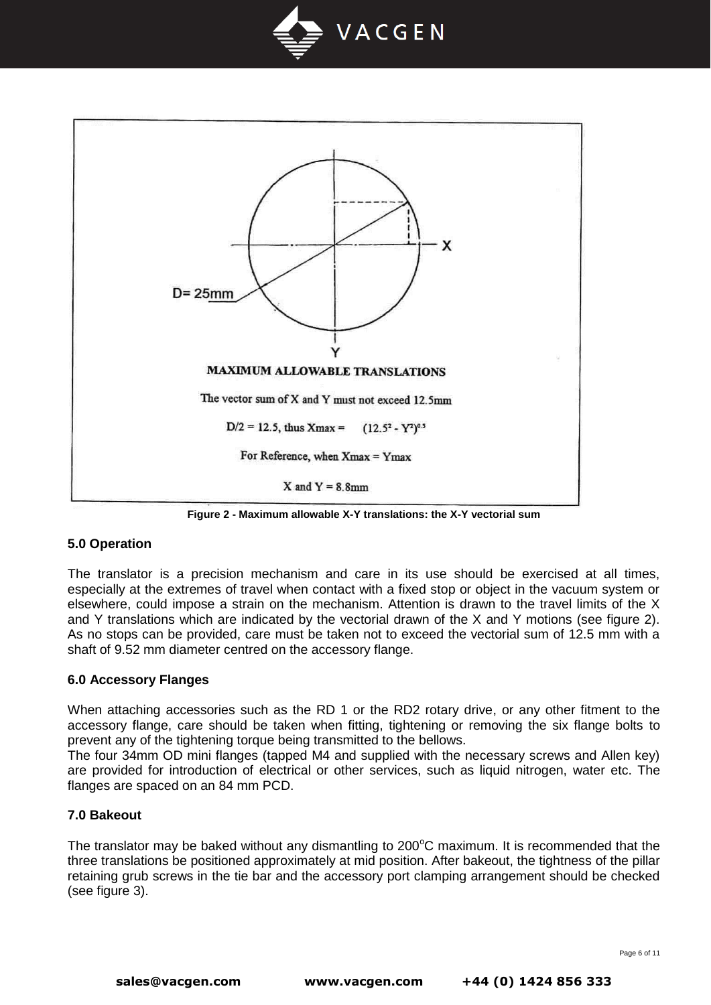



**Figure 2 - Maximum allowable X-Y translations: the X-Y vectorial sum**

## **5.0 Operation**

The translator is a precision mechanism and care in its use should be exercised at all times, especially at the extremes of travel when contact with a fixed stop or object in the vacuum system or elsewhere, could impose a strain on the mechanism. Attention is drawn to the travel limits of the X and Y translations which are indicated by the vectorial drawn of the X and Y motions (see figure 2). As no stops can be provided, care must be taken not to exceed the vectorial sum of 12.5 mm with a shaft of 9.52 mm diameter centred on the accessory flange.

#### **6.0 Accessory Flanges**

When attaching accessories such as the RD 1 or the RD2 rotary drive, or any other fitment to the accessory flange, care should be taken when fitting, tightening or removing the six flange bolts to prevent any of the tightening torque being transmitted to the bellows.

The four 34mm OD mini flanges (tapped M4 and supplied with the necessary screws and Allen key) are provided for introduction of electrical or other services, such as liquid nitrogen, water etc. The flanges are spaced on an 84 mm PCD.

#### **7.0 Bakeout**

The translator may be baked without any dismantling to  $200^{\circ}$ C maximum. It is recommended that the three translations be positioned approximately at mid position. After bakeout, the tightness of the pillar retaining grub screws in the tie bar and the accessory port clamping arrangement should be checked (see figure 3).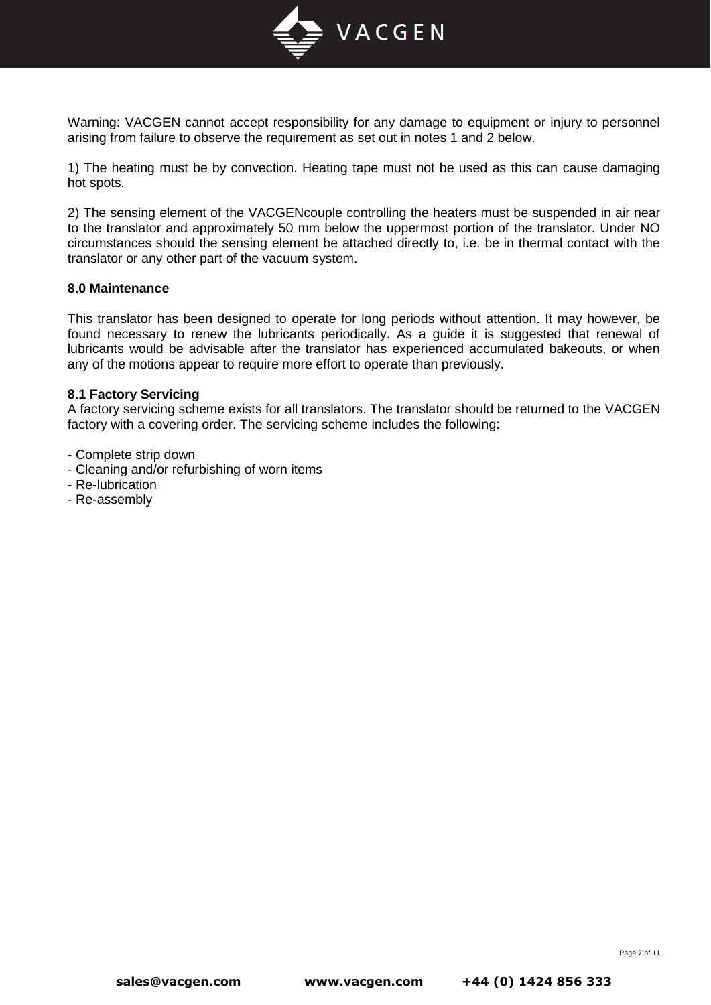

Warning: VACGEN cannot accept responsibility for any damage to equipment or injury to personnel arising from failure to observe the requirement as set out in notes 1 and 2 below.

1) The heating must be by convection. Heating tape must not be used as this can cause damaging hot spots.

2) The sensing element of the VACGENcouple controlling the heaters must be suspended in air near to the translator and approximately 50 mm below the uppermost portion of the translator. Under NO circumstances should the sensing element be attached directly to, i.e. be in thermal contact with the translator or any other part of the vacuum system.

#### **8.0 Maintenance**

This translator has been designed to operate for long periods without attention. It may however, be found necessary to renew the lubricants periodically. As a guide it is suggested that renewal of lubricants would be advisable after the translator has experienced accumulated bakeouts, or when any of the motions appear to require more effort to operate than previously.

#### **8.1 Factory Servicing**

A factory servicing scheme exists for all translators. The translator should be returned to the VACGEN factory with a covering order. The servicing scheme includes the following:

- Complete strip down

- Cleaning and/or refurbishing of worn items
- Re-lubrication
- Re-assembly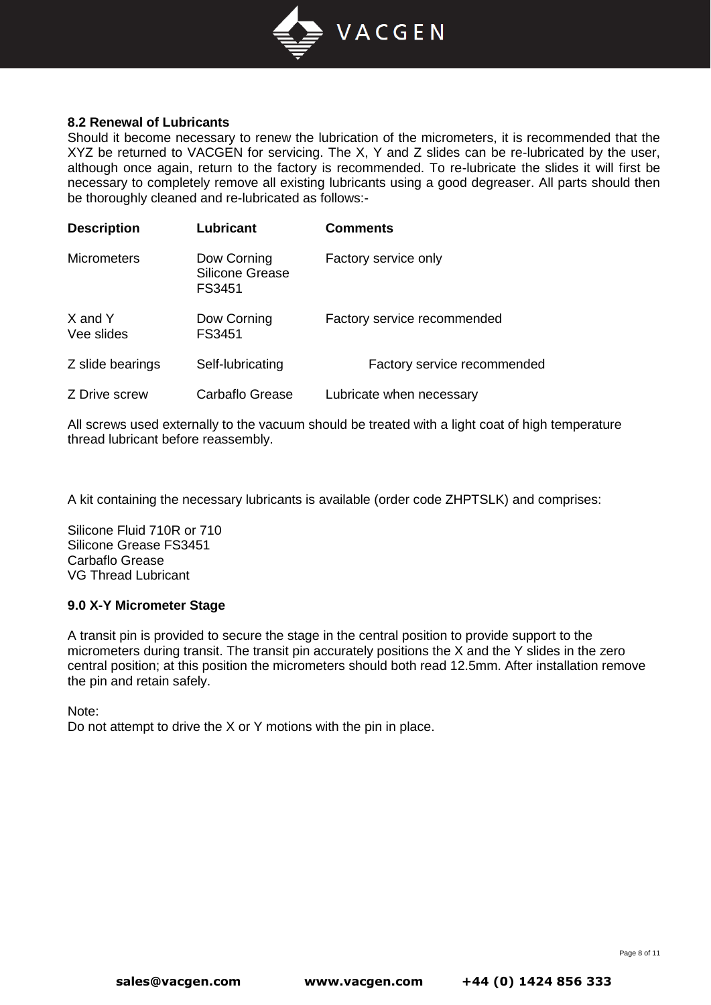

#### **8.2 Renewal of Lubricants**

Should it become necessary to renew the lubrication of the micrometers, it is recommended that the XYZ be returned to VACGEN for servicing. The X, Y and Z slides can be re-lubricated by the user, although once again, return to the factory is recommended. To re-lubricate the slides it will first be necessary to completely remove all existing lubricants using a good degreaser. All parts should then be thoroughly cleaned and re-lubricated as follows:-

| <b>Description</b>    | Lubricant                                | <b>Comments</b>             |
|-----------------------|------------------------------------------|-----------------------------|
| <b>Micrometers</b>    | Dow Corning<br>Silicone Grease<br>FS3451 | Factory service only        |
| X and Y<br>Vee slides | Dow Corning<br>FS3451                    | Factory service recommended |
| Z slide bearings      | Self-lubricating                         | Factory service recommended |
| Z Drive screw         | Carbaflo Grease                          | Lubricate when necessary    |

All screws used externally to the vacuum should be treated with a light coat of high temperature thread lubricant before reassembly.

A kit containing the necessary lubricants is available (order code ZHPTSLK) and comprises:

Silicone Fluid 710R or 710 Silicone Grease FS3451 Carbaflo Grease VG Thread Lubricant

#### **9.0 X-Y Micrometer Stage**

A transit pin is provided to secure the stage in the central position to provide support to the micrometers during transit. The transit pin accurately positions the X and the Y slides in the zero central position; at this position the micrometers should both read 12.5mm. After installation remove the pin and retain safely.

Note:

Do not attempt to drive the X or Y motions with the pin in place.

Page 8 of 11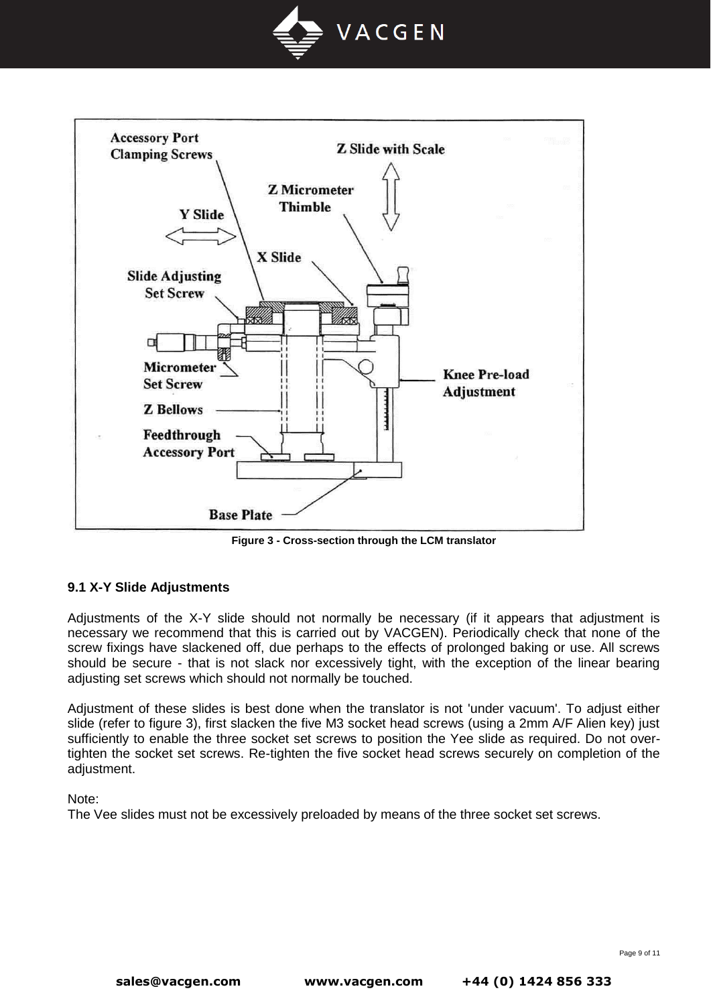



**Figure 3 - Cross-section through the LCM translator**

## **9.1 X-Y Slide Adjustments**

Adjustments of the X-Y slide should not normally be necessary (if it appears that adjustment is necessary we recommend that this is carried out by VACGEN). Periodically check that none of the screw fixings have slackened off, due perhaps to the effects of prolonged baking or use. All screws should be secure - that is not slack nor excessively tight, with the exception of the linear bearing adjusting set screws which should not normally be touched.

Adjustment of these slides is best done when the translator is not 'under vacuum'. To adjust either slide (refer to figure 3), first slacken the five M3 socket head screws (using a 2mm A/F Alien key) just sufficiently to enable the three socket set screws to position the Yee slide as required. Do not overtighten the socket set screws. Re-tighten the five socket head screws securely on completion of the adiustment.

Note:

The Vee slides must not be excessively preloaded by means of the three socket set screws.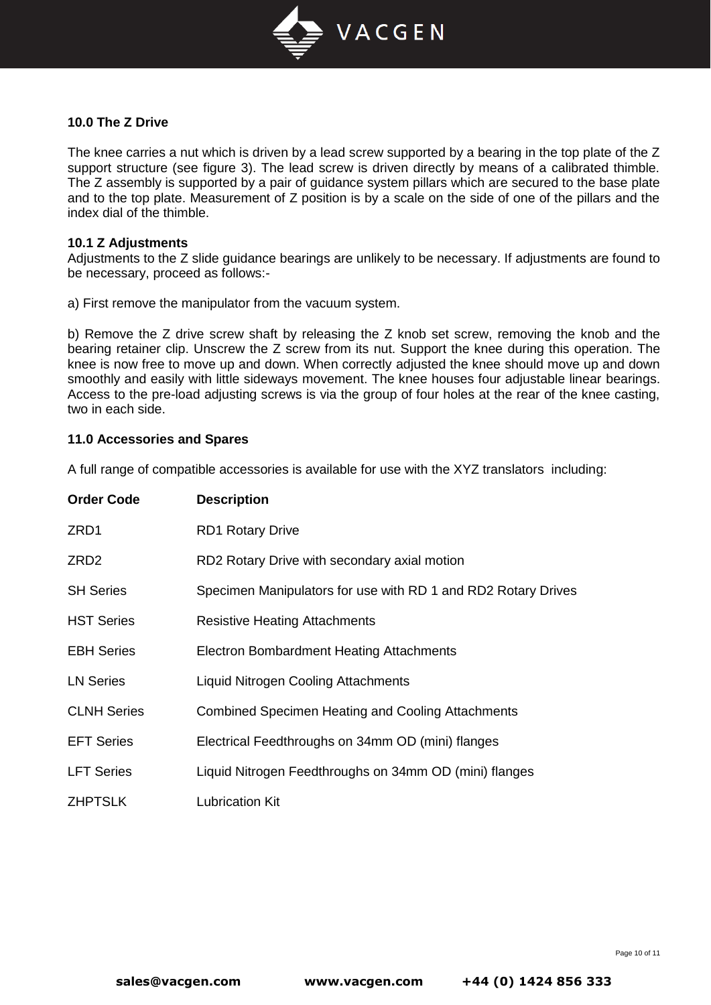

#### **10.0 The Z Drive**

The knee carries a nut which is driven by a lead screw supported by a bearing in the top plate of the Z support structure (see figure 3). The lead screw is driven directly by means of a calibrated thimble. The Z assembly is supported by a pair of guidance system pillars which are secured to the base plate and to the top plate. Measurement of Z position is by a scale on the side of one of the pillars and the index dial of the thimble.

#### **10.1 Z Adjustments**

Adjustments to the Z slide guidance bearings are unlikely to be necessary. If adjustments are found to be necessary, proceed as follows:-

a) First remove the manipulator from the vacuum system.

b) Remove the Z drive screw shaft by releasing the Z knob set screw, removing the knob and the bearing retainer clip. Unscrew the Z screw from its nut. Support the knee during this operation. The knee is now free to move up and down. When correctly adjusted the knee should move up and down smoothly and easily with little sideways movement. The knee houses four adjustable linear bearings. Access to the pre-load adjusting screws is via the group of four holes at the rear of the knee casting, two in each side.

#### **11.0 Accessories and Spares**

A full range of compatible accessories is available for use with the XYZ translators including:

| <b>Order Code</b>  | <b>Description</b>                                            |
|--------------------|---------------------------------------------------------------|
| ZRD1               | <b>RD1 Rotary Drive</b>                                       |
| ZRD2               | RD2 Rotary Drive with secondary axial motion                  |
| <b>SH Series</b>   | Specimen Manipulators for use with RD 1 and RD2 Rotary Drives |
| <b>HST Series</b>  | <b>Resistive Heating Attachments</b>                          |
| <b>EBH Series</b>  | <b>Electron Bombardment Heating Attachments</b>               |
| <b>LN Series</b>   | <b>Liquid Nitrogen Cooling Attachments</b>                    |
| <b>CLNH Series</b> | <b>Combined Specimen Heating and Cooling Attachments</b>      |
| <b>EFT Series</b>  | Electrical Feedthroughs on 34mm OD (mini) flanges             |
| <b>LFT Series</b>  | Liquid Nitrogen Feedthroughs on 34mm OD (mini) flanges        |
| <b>ZHPTSLK</b>     | <b>Lubrication Kit</b>                                        |

Page 10 of 11